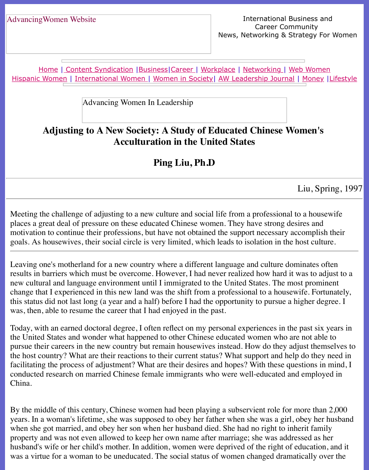Home | Content Syndication | Business | Career | Workplace | Networking | Web Wo Hispanic Women | International Women | Women in Society | AW Leadership Journal | Mon

Advancing Women In Leadership

# **[Adj](http://www.advancingwomen.com/index.html)[usting to A New So](file:///content.html)[ciety: A](file:///business.html) [Study](file:///awcareer.html) [of Educat](file:///workplace.html)e[d Chinese](file:///networks.html) [Women's](file:///web.html)  [Accultu](file:///international.html)[ration in the Uni](file:///Users/nrahman/Desktop/Flash2/womsoc/index.html)t[ed States](file:///awl/awl.html)**

## **Ping Liu, Ph.D**

Liu,

Meeting the challenge of adjusting to a new culture and social life from a professional to a house places a great deal of pressure on these educated Chinese women. They have strong desires a motivation to continue their professions, but have not obtained the support necessary accomp goals. As housewives, their social circle is very limited, which leads to isolation in the host of

Leaving one's motherland for a new country where a different language and culture dominate results in barriers which must be overcome. However, I had never realized how hard it was to new cultural and language environment until I immigrated to the United States. The most prominent change that I experienced in this new land was the shift from a professional to a housewife. I this status did not last long (a year and a half) before I had the opportunity to pursue a higher was, then, able to resume the career that I had enjoyed in the past.

Today, with an earned doctoral degree, I often reflect on my personal experiences in the past the United States and wonder what happened to other Chinese educated women who are not pursue their careers in the new country but remain housewives instead. How do they adjust t the host country? What are their reactions to their current status? What support and help do the facilitating the process of adjustment? What are their desires and hopes? With these question conducted research on married Chinese female immigrants who were well-educated and emp China.

By the middle of this century, Chinese women had been playing a subservient role for more years. In a woman's lifetime, she was supposed to obey her father when she was a girl, obey when she got married, and obey her son when her husband died. She had no right to inherit f property and was not even allowed to keep her own name after marriage; she was addressed husband's wife or her child's mother. In addition, women were deprived of the right of educa was a virtue for a woman to be uneducated. The social status of women changed dramaticall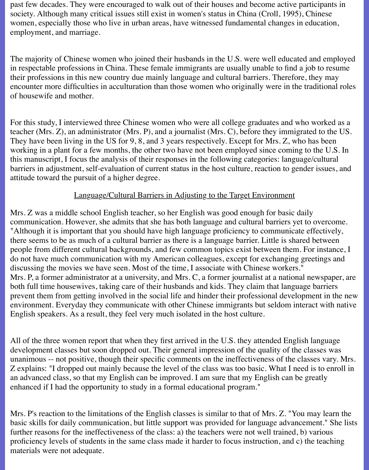past few decades. They were encouraged to walk out of their houses and become active participants in society. Although many critical issues still exist in women's status in China (Croll, 1995), Chinese women, especially those who live in urban areas, have witnessed fundamental changes in education, employment, and marriage.

The majority of Chinese women who joined their husbands in the U.S. were well educated and employed in respectable professions in China. These female immigrants are usually unable to find a job to resume their professions in this new country due mainly language and cultural barriers. Therefore, they may encounter more difficulties in acculturation than those women who originally were in the traditional roles of housewife and mother.

For this study, I interviewed three Chinese women who were all college graduates and who worked as a teacher (Mrs. Z), an administrator (Mrs. P), and a journalist (Mrs. C), before they immigrated to the US. They have been living in the US for 9, 8, and 3 years respectively. Except for Mrs. Z, who has been working in a plant for a few months, the other two have not been employed since coming to the U.S. In this manuscript, I focus the analysis of their responses in the following categories: language/cultural barriers in adjustment, self-evaluation of current status in the host culture, reaction to gender issues, and attitude toward the pursuit of a higher degree.

#### Language/Cultural Barriers in Adjusting to the Target Environment

Mrs. Z was a middle school English teacher, so her English was good enough for basic daily communication. However, she admits that she has both language and cultural barriers yet to overcome. "Although it is important that you should have high language proficiency to communicate effectively, there seems to be as much of a cultural barrier as there is a language barrier. Little is shared between people from different cultural backgrounds, and few common topics exist between them. For instance, I do not have much communication with my American colleagues, except for exchanging greetings and discussing the movies we have seen. Most of the time, I associate with Chinese workers." Mrs. P, a former administrator at a university, and Mrs. C, a former journalist at a national newspaper, are both full time housewives, taking care of their husbands and kids. They claim that language barriers prevent them from getting involved in the social life and hinder their professional development in the new environment. Everyday they communicate with other Chinese immigrants but seldom interact with native English speakers. As a result, they feel very much isolated in the host culture.

All of the three women report that when they first arrived in the U.S. they attended English language development classes but soon dropped out. Their general impression of the quality of the classes was unanimous -- not positive, though their specific comments on the ineffectiveness of the classes vary. Mrs. Z explains: "I dropped out mainly because the level of the class was too basic. What I need is to enroll in an advanced class, so that my English can be improved. I am sure that my English can be greatly enhanced if I had the opportunity to study in a formal educational program."

Mrs. P's reaction to the limitations of the English classes is similar to that of Mrs. Z. "You may learn the basic skills for daily communication, but little support was provided for language advancement." She lists further reasons for the ineffectiveness of the class: a) the teachers were not well trained, b) various proficiency levels of students in the same class made it harder to focus instruction, and c) the teaching materials were not adequate.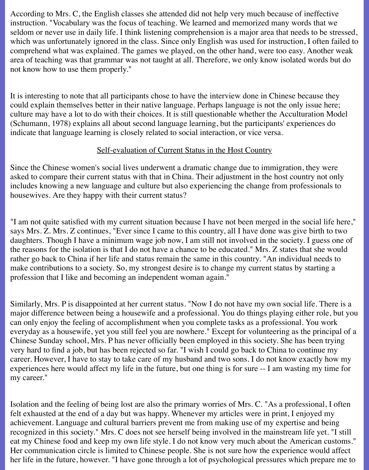According to Mrs. C, the English classes she attended did not help very much because of ineffective instruction. "Vocabulary was the focus of teaching. We learned and memorized many words that we seldom or never use in daily life. I think listening comprehension is a major area that needs to be stressed, which was unfortunately ignored in the class. Since only English was used for instruction, I often failed to comprehend what was explained. The games we played, on the other hand, were too easy. Another weak area of teaching was that grammar was not taught at all. Therefore, we only know isolated words but do not know how to use them properly."

It is interesting to note that all participants chose to have the interview done in Chinese because they could explain themselves better in their native language. Perhaps language is not the only issue here; culture may have a lot to do with their choices. It is still questionable whether the Acculturation Model (Schumann, 1978) explains all about second language learning, but the participants' experiences do indicate that language learning is closely related to social interaction, or vice versa.

#### Self-evaluation of Current Status in the Host Country

Since the Chinese women's social lives underwent a dramatic change due to immigration, they were asked to compare their current status with that in China. Their adjustment in the host country not only includes knowing a new language and culture but also experiencing the change from professionals to housewives. Are they happy with their current status?

"I am not quite satisfied with my current situation because I have not been merged in the social life here," says Mrs. Z. Mrs. Z continues, "Ever since I came to this country, all I have done was give birth to two daughters. Though I have a minimum wage job now, I am still not involved in the society. I guess one of the reasons for the isolation is that I do not have a chance to be educated." Mrs. Z states that she would rather go back to China if her life and status remain the same in this country. "An individual needs to make contributions to a society. So, my strongest desire is to change my current status by starting a profession that I like and becoming an independent woman again."

Similarly, Mrs. P is disappointed at her current status. "Now I do not have my own social life. There is a major difference between being a housewife and a professional. You do things playing either role, but you can only enjoy the feeling of accomplishment when you complete tasks as a professional. You work everyday as a housewife, yet you still feel you are nowhere." Except for volunteering as the principal of a Chinese Sunday school, Mrs. P has never officially been employed in this society. She has been trying very hard to find a job, but has been rejected so far. "I wish I could go back to China to continue my career. However, I have to stay to take care of my husband and two sons. I do not know exactly how my experiences here would affect my life in the future, but one thing is for sure -- I am wasting my time for my career."

Isolation and the feeling of being lost are also the primary worries of Mrs. C. "As a professional, I often felt exhausted at the end of a day but was happy. Whenever my articles were in print, I enjoyed my achievement. Language and cultural barriers prevent me from making use of my expertise and being recognized in this society." Mrs. C does not see herself being involved in the mainstream life yet. "I still eat my Chinese food and keep my own life style. I do not know very much about the American customs." Her communication circle is limited to Chinese people. She is not sure how the experience would affect her life in the future, however. "I have gone through a lot of psychological pressures which prepare me to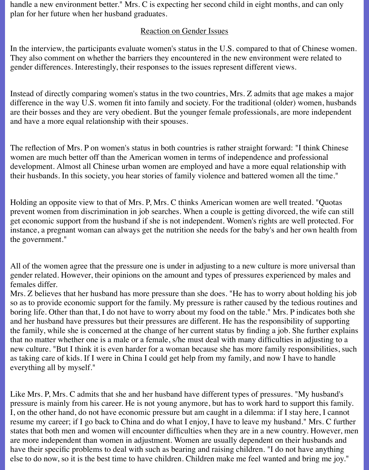handle a new environment better." Mrs. C is expecting her second child in eight months, and can only plan for her future when her husband graduates.

#### Reaction on Gender Issues

In the interview, the participants evaluate women's status in the U.S. compared to that of Chinese women. They also comment on whether the barriers they encountered in the new environment were related to gender differences. Interestingly, their responses to the issues represent different views.

Instead of directly comparing women's status in the two countries, Mrs. Z admits that age makes a major difference in the way U.S. women fit into family and society. For the traditional (older) women, husbands are their bosses and they are very obedient. But the younger female professionals, are more independent and have a more equal relationship with their spouses.

The reflection of Mrs. P on women's status in both countries is rather straight forward: "I think Chinese women are much better off than the American women in terms of independence and professional development. Almost all Chinese urban women are employed and have a more equal relationship with their husbands. In this society, you hear stories of family violence and battered women all the time."

Holding an opposite view to that of Mrs. P, Mrs. C thinks American women are well treated. "Quotas prevent women from discrimination in job searches. When a couple is getting divorced, the wife can still get economic support from the husband if she is not independent. Women's rights are well protected. For instance, a pregnant woman can always get the nutrition she needs for the baby's and her own health from the government."

All of the women agree that the pressure one is under in adjusting to a new culture is more universal than gender related. However, their opinions on the amount and types of pressures experienced by males and females differ.

Mrs. Z believes that her husband has more pressure than she does. "He has to worry about holding his job so as to provide economic support for the family. My pressure is rather caused by the tedious routines and boring life. Other than that, I do not have to worry about my food on the table." Mrs. P indicates both she and her husband have pressures but their pressures are different. He has the responsibility of supporting the family, while she is concerned at the change of her current status by finding a job. She further explains that no matter whether one is a male or a female, s/he must deal with many difficulties in adjusting to a new culture. "But I think it is even harder for a woman because she has more family responsibilities, such as taking care of kids. If I were in China I could get help from my family, and now I have to handle everything all by myself."

Like Mrs. P, Mrs. C admits that she and her husband have different types of pressures. "My husband's pressure is mainly from his career. He is not young anymore, but has to work hard to support this family. I, on the other hand, do not have economic pressure but am caught in a dilemma: if I stay here, I cannot resume my career; if I go back to China and do what I enjoy, I have to leave my husband." Mrs. C further states that both men and women will encounter difficulties when they are in a new country. However, men are more independent than women in adjustment. Women are usually dependent on their husbands and have their specific problems to deal with such as bearing and raising children. "I do not have anything else to do now, so it is the best time to have children. Children make me feel wanted and bring me joy."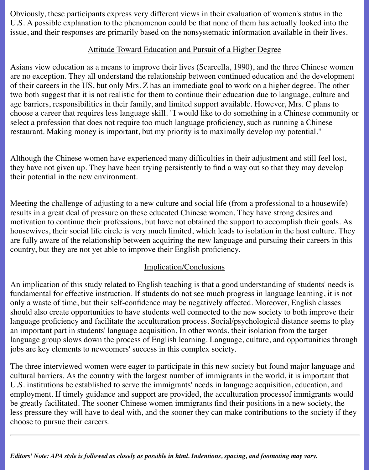Obviously, these participants express very different views in their evaluation of women's status in the U.S. A possible explanation to the phenomenon could be that none of them has actually looked into the issue, and their responses are primarily based on the nonsystematic information available in their lives.

#### Attitude Toward Education and Pursuit of a Higher Degree

Asians view education as a means to improve their lives (Scarcella, 1990), and the three Chinese women are no exception. They all understand the relationship between continued education and the development of their careers in the US, but only Mrs. Z has an immediate goal to work on a higher degree. The other two both suggest that it is not realistic for them to continue their education due to language, culture and age barriers, responsibilities in their family, and limited support available. However, Mrs. C plans to choose a career that requires less language skill. "I would like to do something in a Chinese community or select a profession that does not require too much language proficiency, such as running a Chinese restaurant. Making money is important, but my priority is to maximally develop my potential."

Although the Chinese women have experienced many difficulties in their adjustment and still feel lost, they have not given up. They have been trying persistently to find a way out so that they may develop their potential in the new environment.

Meeting the challenge of adjusting to a new culture and social life (from a professional to a housewife) results in a great deal of pressure on these educated Chinese women. They have strong desires and motivation to continue their professions, but have not obtained the support to accomplish their goals. As housewives, their social life circle is very much limited, which leads to isolation in the host culture. They are fully aware of the relationship between acquiring the new language and pursuing their careers in this country, but they are not yet able to improve their English proficiency.

### Implication/Conclusions

An implication of this study related to English teaching is that a good understanding of students' needs is fundamental for effective instruction. If students do not see much progress in language learning, it is not only a waste of time, but their self-confidence may be negatively affected. Moreover, English classes should also create opportunities to have students well connected to the new society to both improve their language proficiency and facilitate the acculturation process. Social/psychological distance seems to play an important part in students' language acquisition. In other words, their isolation from the target language group slows down the process of English learning. Language, culture, and opportunities through jobs are key elements to newcomers' success in this complex society.

The three interviewed women were eager to participate in this new society but found major language and cultural barriers. As the country with the largest number of immigrants in the world, it is important that U.S. institutions be established to serve the immigrants' needs in language acquisition, education, and employment. If timely guidance and support are provided, the acculturation processof immigrants would be greatly facilitated. The sooner Chinese women immigrants find their positions in a new society, the less pressure they will have to deal with, and the sooner they can make contributions to the society if they choose to pursue their careers.